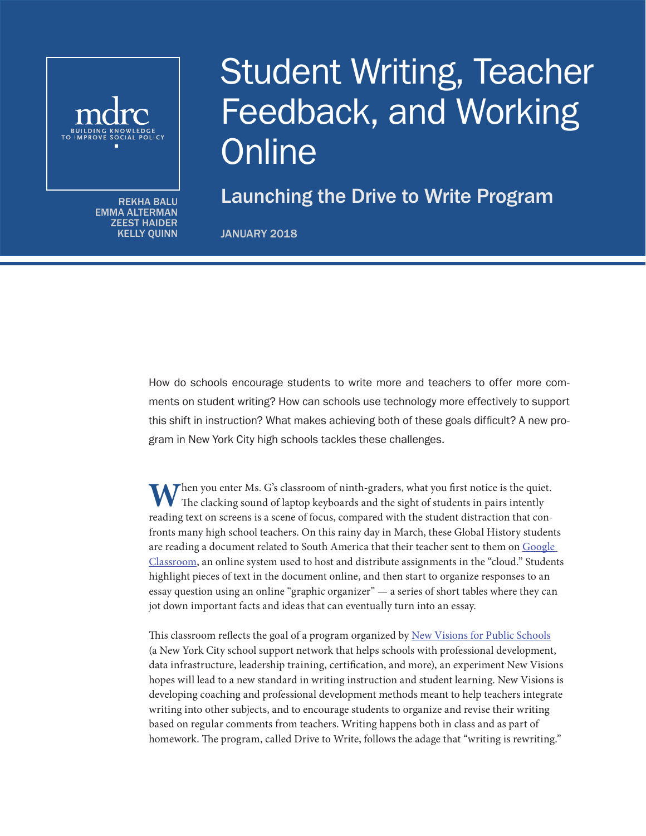

EMMA ALTERMAN ZEEST HAIDER KELLY QUINN

# Student Writing, Teacher Feedback, and Working **Online**

 $\overline{\mathcal{R}_{\text{EKHA BALU}}}$  Launching the Drive to Write Program

JANUARY 2018

How do schools encourage students to write more and teachers to offer more comments on student writing? How can schools use technology more effectively to support this shift in instruction? What makes achieving both of these goals difficult? A new program in New York City high schools tackles these challenges.

Then you enter Ms. G's classroom of ninth-graders, what you first notice is the quiet. The clacking sound of laptop keyboards and the sight of students in pairs intently reading text on screens is a scene of focus, compared with the student distraction that confronts many high school teachers. On this rainy day in March, these Global History students are reading a document related to South America that their teacher sent to them on [Google](https://edu.google.com/k-12-solutions/classroom/?modal_active=none)  [Classroom,](https://edu.google.com/k-12-solutions/classroom/?modal_active=none) an online system used to host and distribute assignments in the "cloud." Students highlight pieces of text in the document online, and then start to organize responses to an essay question using an online "graphic organizer" — a series of short tables where they can jot down important facts and ideas that can eventually turn into an essay.

This classroom reflects the goal of a program organized by [New Visions for Public Schools](https://www.newvisions.org/) (a New York City school support network that helps schools with professional development, data infrastructure, leadership training, certification, and more), an experiment New Visions hopes will lead to a new standard in writing instruction and student learning. New Visions is developing coaching and professional development methods meant to help teachers integrate writing into other subjects, and to encourage students to organize and revise their writing based on regular comments from teachers. Writing happens both in class and as part of homework. The program, called Drive to Write, follows the adage that "writing is rewriting."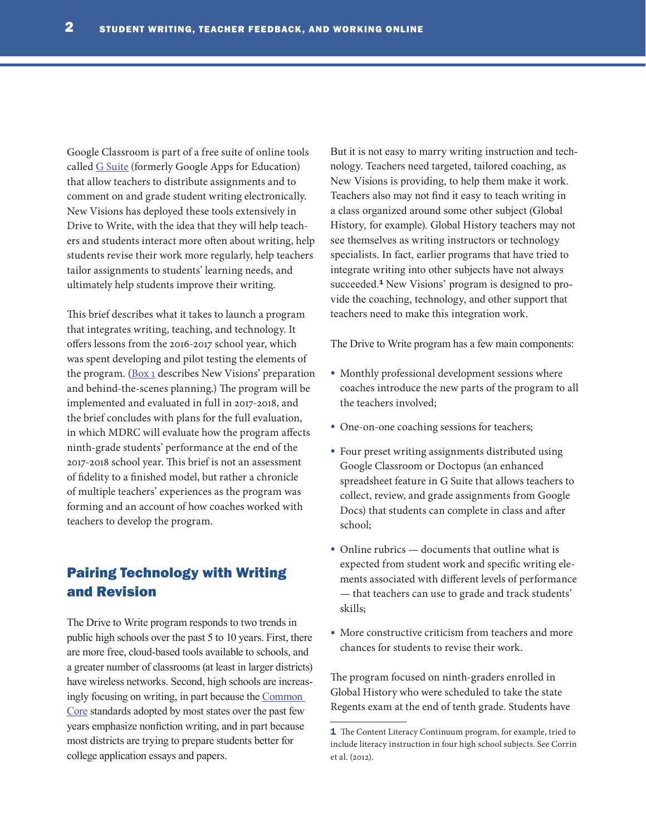Google Classroom is part of a free suite of online tools called [G Suite](https://edu.google.com/k-12-solutions/g-suite/?modal_active=none) (formerly Google Apps for Education) that allow teachers to distribute assignments and to comment on and grade student writing electronically. New Visions has deployed these tools extensively in Drive to Write, with the idea that they will help teachers and students interact more often about writing, help students revise their work more regularly, help teachers tailor assignments to students' learning needs, and ultimately help students improve their writing.

This brief describes what it takes to launch a program that integrates writing, teaching, and technology. It offers lessons from the 2016-2017 school year, which was spent developing and pilot testing the elements of the program. ([Box 1](#page-2-0) describes New Visions' preparation and behind-the-scenes planning.) The program will be implemented and evaluated in full in 2017-2018, and the brief concludes with plans for the full evaluation, in which MDRC will evaluate how the program affects ninth-grade students' performance at the end of the 2017-2018 school year. This brief is not an assessment of fidelity to a finished model, but rather a chronicle of multiple teachers' experiences as the program was forming and an account of how coaches worked with teachers to develop the program.

## Pairing Technology with Writing and Revision

The Drive to Write program responds to two trends in public high schools over the past 5 to 10 years. First, there are more free, cloud-based tools available to schools, and a greater number of classrooms (at least in larger districts) have wireless networks. Second, high schools are increasingly focusing on writing, in part because the [Common](http://www.corestandards.org/)  [Core](http://www.corestandards.org/) standards adopted by most states over the past few years emphasize nonfiction writing, and in part because most districts are trying to prepare students better for college application essays and papers.

But it is not easy to marry writing instruction and technology. Teachers need targeted, tailored coaching, as New Visions is providing, to help them make it work. Teachers also may not find it easy to teach writing in a class organized around some other subject (Global History, for example). Global History teachers may not see themselves as writing instructors or technology specialists. In fact, earlier programs that have tried to integrate writing into other subjects have not always succeeded.<sup>1</sup> New Visions' program is designed to provide the coaching, technology, and other support that teachers need to make this integration work.

The Drive to Write program has a few main components:

- Monthly professional development sessions where coaches introduce the new parts of the program to all the teachers involved;
- One-on-one coaching sessions for teachers;
- Four preset writing assignments distributed using Google Classroom or Doctopus (an enhanced spreadsheet feature in G Suite that allows teachers to collect, review, and grade assignments from Google Docs) that students can complete in class and after school;
- Online rubrics documents that outline what is expected from student work and specific writing elements associated with different levels of performance — that teachers can use to grade and track students' skills;
- More constructive criticism from teachers and more chances for students to revise their work.

The program focused on ninth-graders enrolled in Global History who were scheduled to take the state Regents exam at the end of tenth grade. Students have

<sup>1</sup> The Content Literacy Continuum program, for example, tried to include literacy instruction in four high school subjects. See Corrin et al. (2012).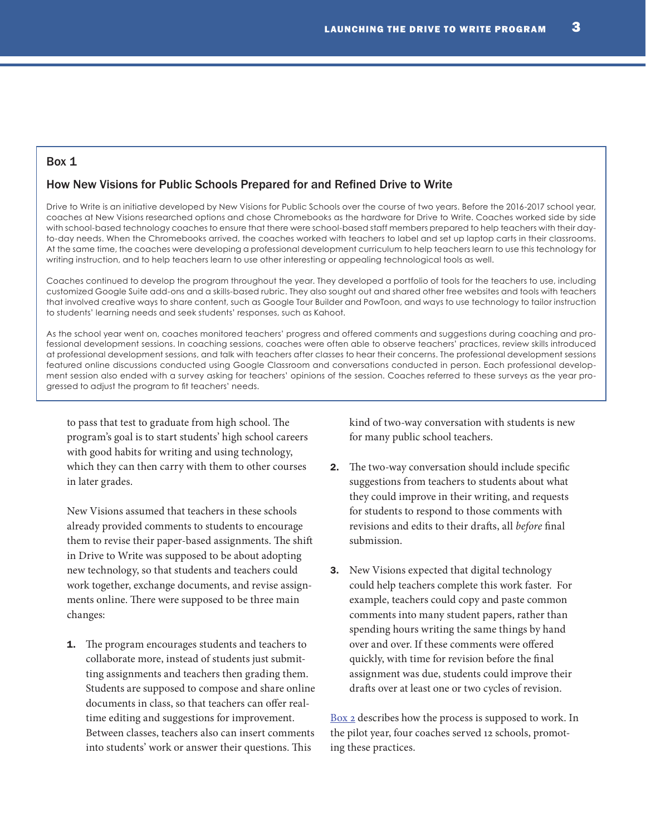#### <span id="page-2-0"></span>Box 1

#### How New Visions for Public Schools Prepared for and Refined Drive to Write

Drive to Write is an initiative developed by New Visions for Public Schools over the course of two years. Before the 2016-2017 school year, coaches at New Visions researched options and chose Chromebooks as the hardware for Drive to Write. Coaches worked side by side with school-based technology coaches to ensure that there were school-based staff members prepared to help teachers with their dayto-day needs. When the Chromebooks arrived, the coaches worked with teachers to label and set up laptop carts in their classrooms. At the same time, the coaches were developing a professional development curriculum to help teachers learn to use this technology for writing instruction, and to help teachers learn to use other interesting or appealing technological tools as well.

Coaches continued to develop the program throughout the year. They developed a portfolio of tools for the teachers to use, including customized Google Suite add-ons and a skills-based rubric. They also sought out and shared other free websites and tools with teachers that involved creative ways to share content, such as Google Tour Builder and PowToon, and ways to use technology to tailor instruction to students' learning needs and seek students' responses, such as Kahoot.

As the school year went on, coaches monitored teachers' progress and offered comments and suggestions during coaching and professional development sessions. In coaching sessions, coaches were often able to observe teachers' practices, review skills introduced at professional development sessions, and talk with teachers after classes to hear their concerns. The professional development sessions featured online discussions conducted using Google Classroom and conversations conducted in person. Each professional development session also ended with a survey asking for teachers' opinions of the session. Coaches referred to these surveys as the year progressed to adjust the program to fit teachers' needs.

to pass that test to graduate from high school. The program's goal is to start students' high school careers with good habits for writing and using technology, which they can then carry with them to other courses in later grades.

New Visions assumed that teachers in these schools already provided comments to students to encourage them to revise their paper-based assignments. The shift in Drive to Write was supposed to be about adopting new technology, so that students and teachers could work together, exchange documents, and revise assignments online. There were supposed to be three main changes:

**1.** The program encourages students and teachers to collaborate more, instead of students just submitting assignments and teachers then grading them. Students are supposed to compose and share online documents in class, so that teachers can offer realtime editing and suggestions for improvement. Between classes, teachers also can insert comments into students' work or answer their questions. This

kind of two-way conversation with students is new for many public school teachers.

- **2.** The two-way conversation should include specific suggestions from teachers to students about what they could improve in their writing, and requests for students to respond to those comments with revisions and edits to their drafts, all *before* final submission.
- 3. New Visions expected that digital technology could help teachers complete this work faster. For example, teachers could copy and paste common comments into many student papers, rather than spending hours writing the same things by hand over and over. If these comments were offered quickly, with time for revision before the final assignment was due, students could improve their drafts over at least one or two cycles of revision.

[Box 2](#page-3-0) describes how the process is supposed to work. In the pilot year, four coaches served 12 schools, promoting these practices.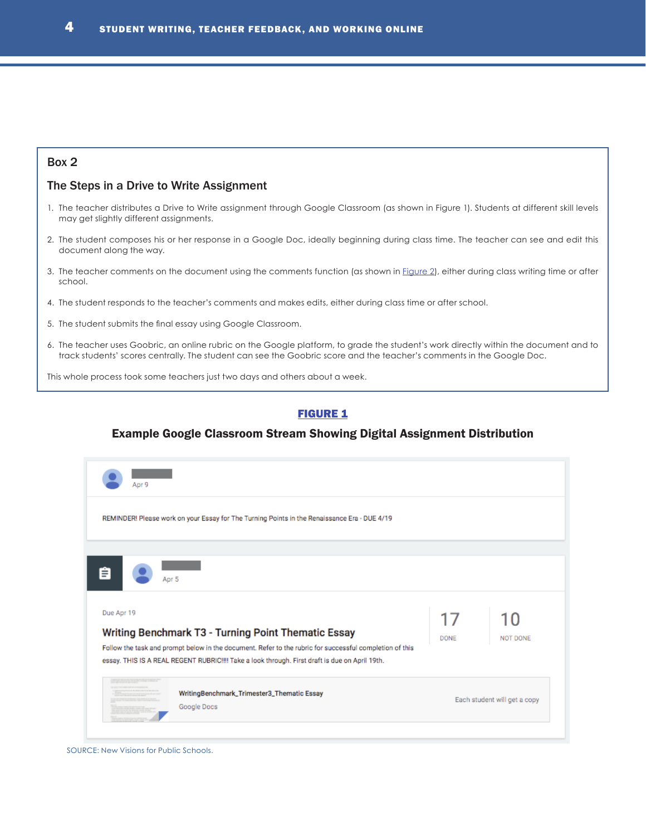## <span id="page-3-0"></span>Box 2

#### The Steps in a Drive to Write Assignment

- <span id="page-3-1"></span>1. The teacher distributes a Drive to Write assignment through Google Classroom (as shown in Figure 1). Students at different skill levels may get slightly different assignments.
- 2. The student composes his or her response in a Google Doc, ideally beginning during class time. The teacher can see and edit this document along the way.
- 3. The teacher comments on the document using the comments function (as shown in [Figure 2\)](#page-4-0), either during class writing time or after school.
- 4. The student responds to the teacher's comments and makes edits, either during class time or after school.
- 5. The student submits the final essay using Google Classroom.
- 6. The teacher uses Goobric, an online rubric on the Google platform, to grade the student's work directly within the document and to track students' scores centrally. The student can see the Goobric score and the teacher's comments in the Google Doc.

This whole process took some teachers just two days and others about a week.

## **[FIGURE 1](#page-3-1)**

#### Example Google Classroom Stream Showing Digital Assignment Distribution

| 17   |          |
|------|----------|
| DONE | NOT DONE |
|      |          |

SOURCE: New Visions for Public Schools.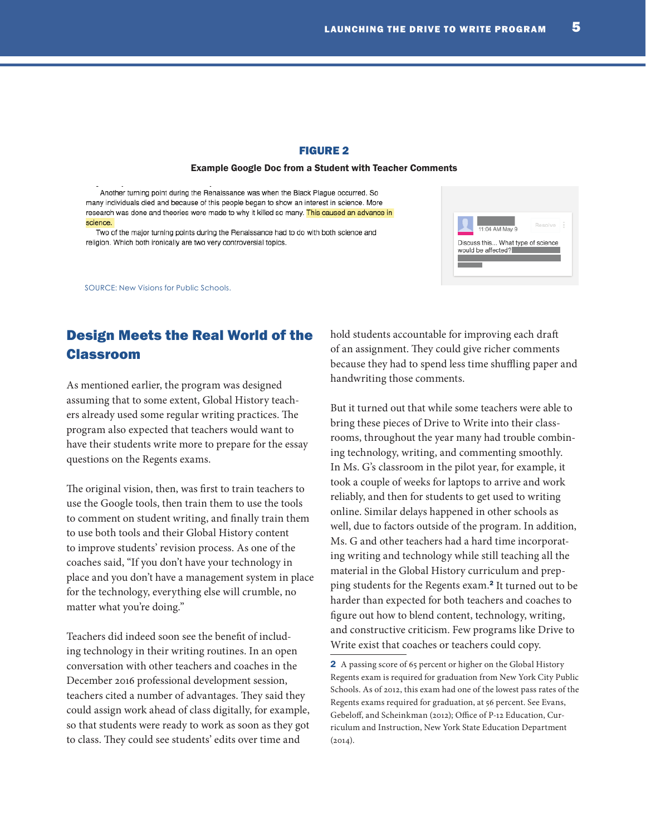#### FIGURE 2

#### Example Google Doc from a Student with Teacher Comments

Another turning point during the Renaissance was when the Black Plague occurred. So many individuals died and because of this people began to show an interest in science. More research was done and theories were made to why it killed so many. This caused an advance in science.

Two of the major turning points during the Renaissance had to do with both science and religion. Which both ironically are two very controversial topics.

SOURCE: New Visions for Public Schools.

# Design Meets the Real World of the Classroom

As mentioned earlier, the program was designed assuming that to some extent, Global History teachers already used some regular writing practices. The program also expected that teachers would want to have their students write more to prepare for the essay questions on the Regents exams.

The original vision, then, was first to train teachers to use the Google tools, then train them to use the tools to comment on student writing, and finally train them to use both tools and their Global History content to improve students' revision process. As one of the coaches said, "If you don't have your technology in place and you don't have a management system in place for the technology, everything else will crumble, no matter what you're doing."

Teachers did indeed soon see the benefit of including technology in their writing routines. In an open conversation with other teachers and coaches in the December 2016 professional development session, teachers cited a number of advantages. They said they could assign work ahead of class digitally, for example, so that students were ready to work as soon as they got to class. They could see students' edits over time and

hold students accountable for improving each draft of an assignment. They could give richer comments because they had to spend less time shuffling paper and handwriting those comments.

But it turned out that while some teachers were able to bring these pieces of Drive to Write into their classrooms, throughout the year many had trouble combining technology, writing, and commenting smoothly. In Ms. G's classroom in the pilot year, for example, it took a couple of weeks for laptops to arrive and work reliably, and then for students to get used to writing online. Similar delays happened in other schools as well, due to factors outside of the program. In addition, Ms. G and other teachers had a hard time incorporating writing and technology while still teaching all the material in the Global History curriculum and prepping students for the Regents exam.<sup>2</sup> It turned out to be harder than expected for both teachers and coaches to figure out how to blend content, technology, writing, and constructive criticism. Few programs like Drive to Write exist that coaches or teachers could copy.

<span id="page-4-0"></span>

<sup>2</sup> A passing score of 65 percent or higher on the Global History Regents exam is required for graduation from New York City Public Schools. As of 2012, this exam had one of the lowest pass rates of the Regents exams required for graduation, at 56 percent. See Evans, Gebeloff, and Scheinkman (2012); Office of P-12 Education, Curriculum and Instruction, New York State Education Department  $(2014).$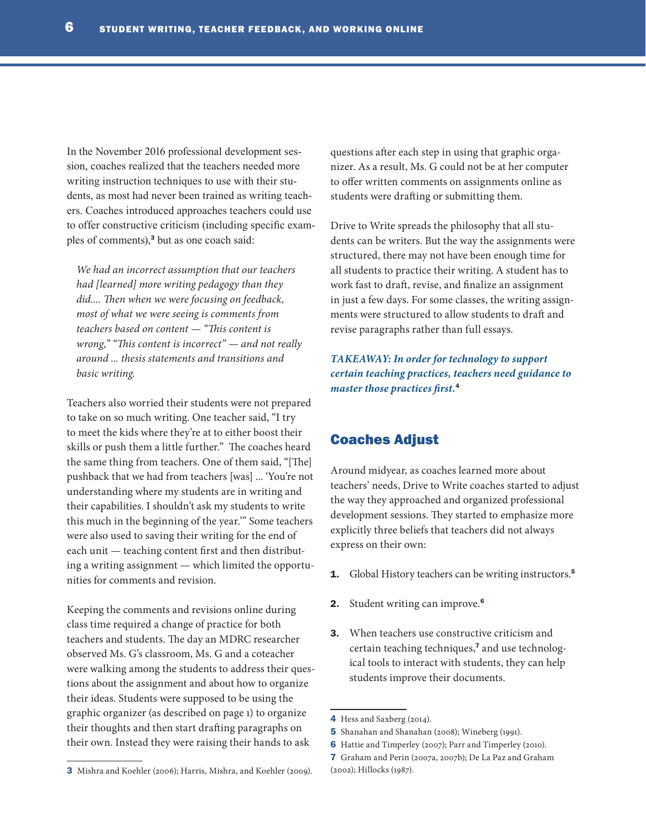In the November 2016 professional development session, coaches realized that the teachers needed more writing instruction techniques to use with their students, as most had never been trained as writing teachers. Coaches introduced approaches teachers could use to offer constructive criticism (including specific examples of comments),<sup>3</sup> but as one coach said:

*We had an incorrect assumption that our teachers had [learned] more writing pedagogy than they did.... Then when we were focusing on feedback, most of what we were seeing is comments from teachers based on content — "This content is wrong," "This content is incorrect" — and not really around ... thesis statements and transitions and basic writing.* 

Teachers also worried their students were not prepared to take on so much writing. One teacher said, "I try to meet the kids where they're at to either boost their skills or push them a little further." The coaches heard the same thing from teachers. One of them said, "[The] pushback that we had from teachers [was] ... 'You're not understanding where my students are in writing and their capabilities. I shouldn't ask my students to write this much in the beginning of the year.'" Some teachers were also used to saving their writing for the end of each unit — teaching content first and then distributing a writing assignment — which limited the opportunities for comments and revision.

Keeping the comments and revisions online during class time required a change of practice for both teachers and students. The day an MDRC researcher observed Ms. G's classroom, Ms. G and a coteacher were walking among the students to address their questions about the assignment and about how to organize their ideas. Students were supposed to be using the graphic organizer (as described on page 1) to organize their thoughts and then start drafting paragraphs on their own. Instead they were raising their hands to ask

questions after each step in using that graphic organizer. As a result, Ms. G could not be at her computer to offer written comments on assignments online as students were drafting or submitting them.

Drive to Write spreads the philosophy that all students can be writers. But the way the assignments were structured, there may not have been enough time for all students to practice their writing. A student has to work fast to draft, revise, and finalize an assignment in just a few days. For some classes, the writing assignments were structured to allow students to draft and revise paragraphs rather than full essays.

*TAKEAWAY: In order for technology to support certain teaching practices, teachers need guidance to master those practices first.*<sup>4</sup>

## Coaches Adjust

Around midyear, as coaches learned more about teachers' needs, Drive to Write coaches started to adjust the way they approached and organized professional development sessions. They started to emphasize more explicitly three beliefs that teachers did not always express on their own:

- 1. Global History teachers can be writing instructors.<sup>5</sup>
- 2. Student writing can improve.<sup>6</sup>
- 3. When teachers use constructive criticism and certain teaching techniques,7 and use technological tools to interact with students, they can help students improve their documents.

<sup>4</sup> Hess and Saxberg (2014).

<sup>5</sup> Shanahan and Shanahan (2008); Wineberg (1991).

<sup>6</sup> Hattie and Timperley (2007); Parr and Timperley (2010).

<sup>7</sup> Graham and Perin (2007a, 2007b); De La Paz and Graham (2002); Hillocks (1987).

<sup>3</sup> Mishra and Koehler (2006); Harris, Mishra, and Koehler (2009).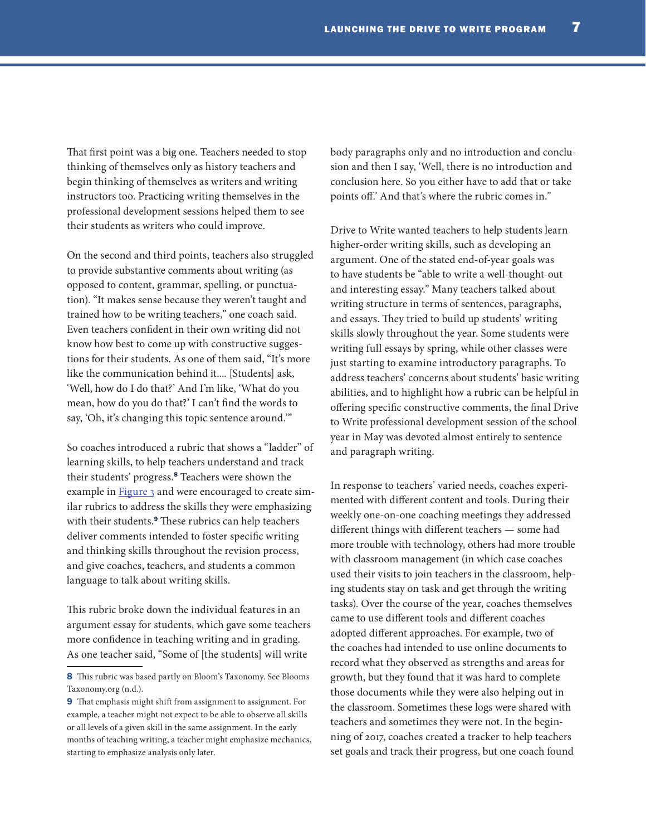That first point was a big one. Teachers needed to stop thinking of themselves only as history teachers and begin thinking of themselves as writers and writing instructors too. Practicing writing themselves in the professional development sessions helped them to see their students as writers who could improve.

On the second and third points, teachers also struggled to provide substantive comments about writing (as opposed to content, grammar, spelling, or punctuation). "It makes sense because they weren't taught and trained how to be writing teachers," one coach said. Even teachers confident in their own writing did not know how best to come up with constructive suggestions for their students. As one of them said, "It's more like the communication behind it.... [Students] ask, 'Well, how do I do that?' And I'm like, 'What do you mean, how do you do that?' I can't find the words to say, 'Oh, it's changing this topic sentence around.'"

So coaches introduced a rubric that shows a "ladder" of learning skills, to help teachers understand and track their students' progress.<sup>8</sup> Teachers were shown the example in **Figure 3** and were encouraged to create similar rubrics to address the skills they were emphasizing with their students.<sup>9</sup> These rubrics can help teachers deliver comments intended to foster specific writing and thinking skills throughout the revision process, and give coaches, teachers, and students a common language to talk about writing skills.

This rubric broke down the individual features in an argument essay for students, which gave some teachers more confidence in teaching writing and in grading. As one teacher said, "Some of [the students] will write

body paragraphs only and no introduction and conclusion and then I say, 'Well, there is no introduction and conclusion here. So you either have to add that or take points off.' And that's where the rubric comes in."

Drive to Write wanted teachers to help students learn higher-order writing skills, such as developing an argument. One of the stated end-of-year goals was to have students be "able to write a well-thought-out and interesting essay." Many teachers talked about writing structure in terms of sentences, paragraphs, and essays. They tried to build up students' writing skills slowly throughout the year. Some students were writing full essays by spring, while other classes were just starting to examine introductory paragraphs. To address teachers' concerns about students' basic writing abilities, and to highlight how a rubric can be helpful in offering specific constructive comments, the final Drive to Write professional development session of the school year in May was devoted almost entirely to sentence and paragraph writing.

In response to teachers' varied needs, coaches experimented with different content and tools. During their weekly one-on-one coaching meetings they addressed different things with different teachers — some had more trouble with technology, others had more trouble with classroom management (in which case coaches used their visits to join teachers in the classroom, helping students stay on task and get through the writing tasks). Over the course of the year, coaches themselves came to use different tools and different coaches adopted different approaches. For example, two of the coaches had intended to use online documents to record what they observed as strengths and areas for growth, but they found that it was hard to complete those documents while they were also helping out in the classroom. Sometimes these logs were shared with teachers and sometimes they were not. In the beginning of 2017, coaches created a tracker to help teachers set goals and track their progress, but one coach found

<sup>8</sup> This rubric was based partly on Bloom's Taxonomy. See Blooms Taxonomy.org (n.d.).

<sup>9</sup> That emphasis might shift from assignment to assignment. For example, a teacher might not expect to be able to observe all skills or all levels of a given skill in the same assignment. In the early months of teaching writing, a teacher might emphasize mechanics, starting to emphasize analysis only later.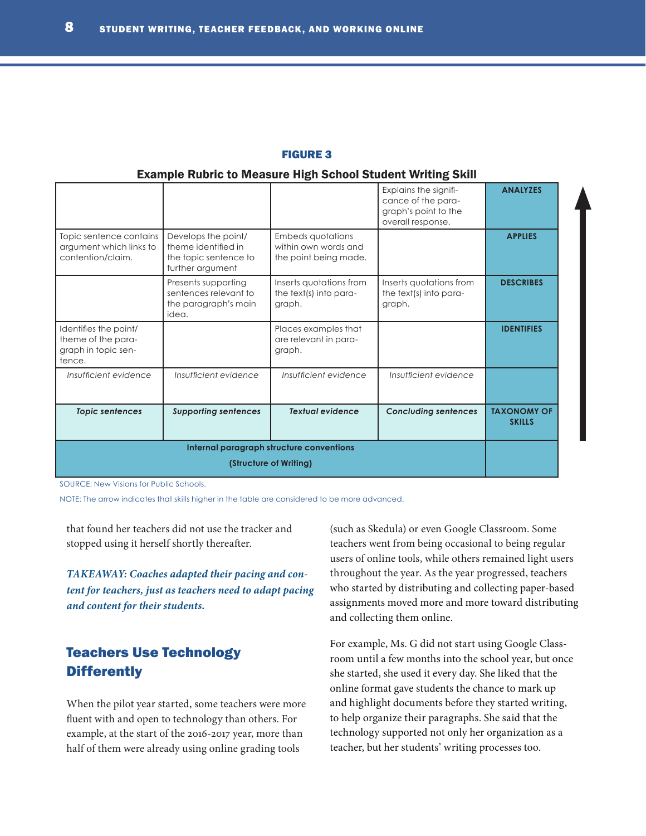#### <span id="page-7-0"></span>FIGURE 3

#### Example Rubric to Measure High School Student Writing Skill

|                                                                              |                                                                                         |                                                                           | Explains the signifi-<br>cance of the para-<br>graph's point to the<br>overall response. | <b>ANALYZES</b>                     |
|------------------------------------------------------------------------------|-----------------------------------------------------------------------------------------|---------------------------------------------------------------------------|------------------------------------------------------------------------------------------|-------------------------------------|
| Topic sentence contains<br>argument which links to<br>contention/claim.      | Develops the point/<br>theme identified in<br>the topic sentence to<br>further argument | <b>Embeds quotations</b><br>within own words and<br>the point being made. |                                                                                          | <b>APPLIES</b>                      |
|                                                                              | Presents supporting<br>sentences relevant to<br>the paragraph's main<br>idea.           | Inserts quotations from<br>the text(s) into para-<br>graph.               | Inserts quotations from<br>the text(s) into para-<br>graph.                              | <b>DESCRIBES</b>                    |
| Identifies the point/<br>theme of the para-<br>graph in topic sen-<br>tence. |                                                                                         | Places examples that<br>are relevant in para-<br>graph.                   |                                                                                          | <b>IDENTIFIES</b>                   |
| Insufficient evidence                                                        | Insufficient evidence                                                                   | Insufficient evidence                                                     | Insufficient evidence                                                                    |                                     |
| <b>Topic sentences</b>                                                       | <b>Supporting sentences</b>                                                             | <b>Textual evidence</b>                                                   | <b>Concluding sentences</b>                                                              | <b>TAXONOMY OF</b><br><b>SKILLS</b> |
|                                                                              |                                                                                         |                                                                           |                                                                                          |                                     |

SOURCE: New Visions for Public Schools.

NOTE: The arrow indicates that skills higher in the table are considered to be more advanced.

that found her teachers did not use the tracker and stopped using it herself shortly thereafter.

*TAKEAWAY: Coaches adapted their pacing and content for teachers, just as teachers need to adapt pacing and content for their students.* 

# Teachers Use Technology **Differently**

When the pilot year started, some teachers were more fluent with and open to technology than others. For example, at the start of the 2016-2017 year, more than half of them were already using online grading tools

(such as Skedula) or even Google Classroom. Some teachers went from being occasional to being regular users of online tools, while others remained light users throughout the year. As the year progressed, teachers who started by distributing and collecting paper-based assignments moved more and more toward distributing and collecting them online.

For example, Ms. G did not start using Google Classroom until a few months into the school year, but once she started, she used it every day. She liked that the online format gave students the chance to mark up and highlight documents before they started writing, to help organize their paragraphs. She said that the technology supported not only her organization as a teacher, but her students' writing processes too.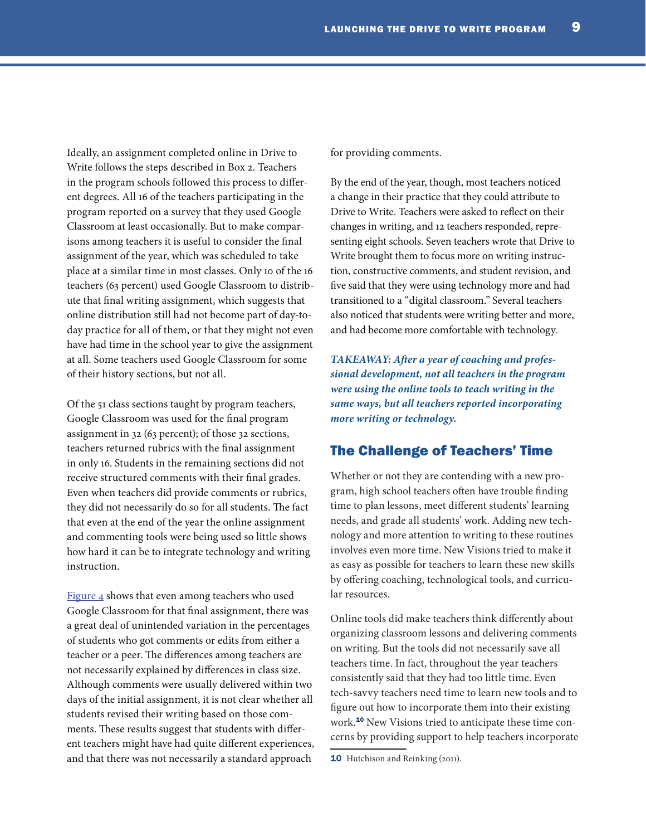Ideally, an assignment completed online in Drive to Write follows the steps described in Box 2. Teachers in the program schools followed this process to different degrees. All 16 of the teachers participating in the program reported on a survey that they used Google Classroom at least occasionally. But to make comparisons among teachers it is useful to consider the final assignment of the year, which was scheduled to take place at a similar time in most classes. Only 10 of the 16 teachers (63 percent) used Google Classroom to distribute that final writing assignment, which suggests that online distribution still had not become part of day-today practice for all of them, or that they might not even have had time in the school year to give the assignment at all. Some teachers used Google Classroom for some of their history sections, but not all.

Of the 51 class sections taught by program teachers, Google Classroom was used for the final program assignment in 32 (63 percent); of those 32 sections, teachers returned rubrics with the final assignment in only 16. Students in the remaining sections did not receive structured comments with their final grades. Even when teachers did provide comments or rubrics, they did not necessarily do so for all students. The fact that even at the end of the year the online assignment and commenting tools were being used so little shows how hard it can be to integrate technology and writing instruction.

[Figure 4](#page-9-0) shows that even among teachers who used Google Classroom for that final assignment, there was a great deal of unintended variation in the percentages of students who got comments or edits from either a teacher or a peer. The differences among teachers are not necessarily explained by differences in class size. Although comments were usually delivered within two days of the initial assignment, it is not clear whether all students revised their writing based on those comments. These results suggest that students with different teachers might have had quite different experiences, and that there was not necessarily a standard approach

for providing comments.

By the end of the year, though, most teachers noticed a change in their practice that they could attribute to Drive to Write. Teachers were asked to reflect on their changes in writing, and 12 teachers responded, representing eight schools. Seven teachers wrote that Drive to Write brought them to focus more on writing instruction, constructive comments, and student revision, and five said that they were using technology more and had transitioned to a "digital classroom." Several teachers also noticed that students were writing better and more, and had become more comfortable with technology.

*TAKEAWAY: After a year of coaching and professional development, not all teachers in the program were using the online tools to teach writing in the same ways, but all teachers reported incorporating more writing or technology.* 

## The Challenge of Teachers' Time

Whether or not they are contending with a new program, high school teachers often have trouble finding time to plan lessons, meet different students' learning needs, and grade all students' work. Adding new technology and more attention to writing to these routines involves even more time. New Visions tried to make it as easy as possible for teachers to learn these new skills by offering coaching, technological tools, and curricular resources.

Online tools did make teachers think differently about organizing classroom lessons and delivering comments on writing. But the tools did not necessarily save all teachers time. In fact, throughout the year teachers consistently said that they had too little time. Even tech-savvy teachers need time to learn new tools and to figure out how to incorporate them into their existing work.10 New Visions tried to anticipate these time concerns by providing support to help teachers incorporate

<sup>10</sup> Hutchison and Reinking (2011).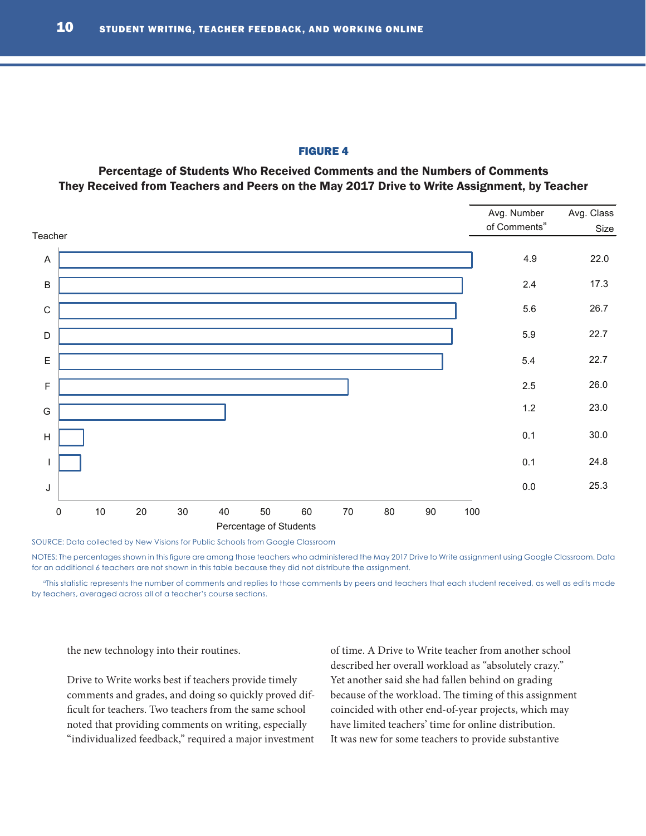#### <span id="page-9-0"></span>FIGURE 4

Percentage of Students Who Received Comments and the Numbers of Comments They Received from Teachers and Peers on the May 2017 Drive to Write Assignment, by Teacher



SOURCE: Data collected by New Visions for Public Schools from Google Classroom

NOTES: The percentages shown in this figure are among those teachers who administered the May 2017 Drive to Write assignment using Google Classroom. Data for an additional 6 teachers are not shown in this table because they did not distribute the assignment.

<sup>a</sup>This statistic represents the number of comments and replies to those comments by peers and teachers that each student received, as well as edits made by teachers, averaged across all of a teacher's course sections.

the new technology into their routines.

Drive to Write works best if teachers provide timely comments and grades, and doing so quickly proved difficult for teachers. Two teachers from the same school noted that providing comments on writing, especially "individualized feedback," required a major investment

of time. A Drive to Write teacher from another school described her overall workload as "absolutely crazy." Yet another said she had fallen behind on grading because of the workload. The timing of this assignment coincided with other end-of-year projects, which may have limited teachers' time for online distribution. It was new for some teachers to provide substantive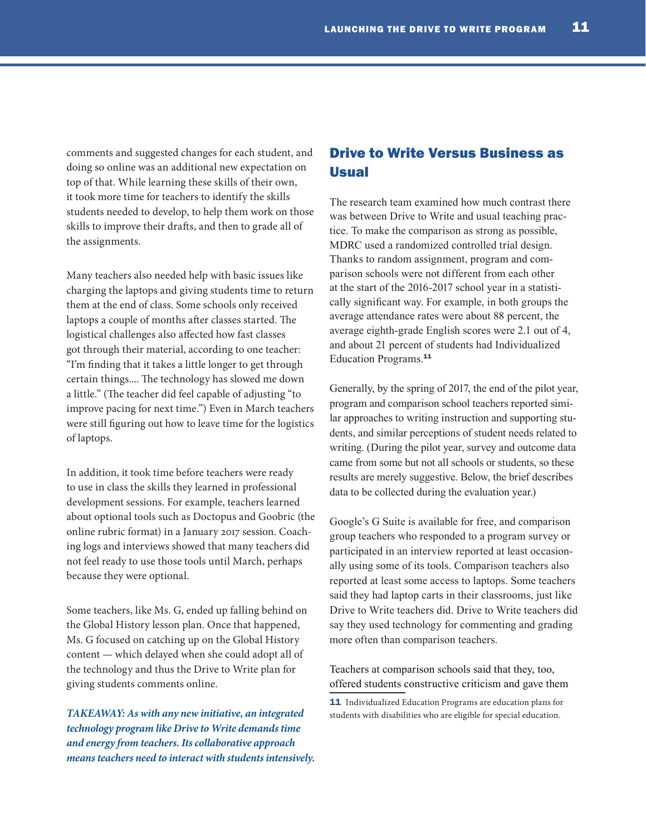comments and suggested changes for each student, and doing so online was an additional new expectation on top of that. While learning these skills of their own, it took more time for teachers to identify the skills students needed to develop, to help them work on those skills to improve their drafts, and then to grade all of the assignments.

Many teachers also needed help with basic issues like charging the laptops and giving students time to return them at the end of class. Some schools only received laptops a couple of months after classes started. The logistical challenges also affected how fast classes got through their material, according to one teacher: "I'm finding that it takes a little longer to get through certain things.... The technology has slowed me down a little." (The teacher did feel capable of adjusting "to improve pacing for next time.") Even in March teachers were still figuring out how to leave time for the logistics of laptops.

In addition, it took time before teachers were ready to use in class the skills they learned in professional development sessions. For example, teachers learned about optional tools such as Doctopus and Goobric (the online rubric format) in a January 2017 session. Coaching logs and interviews showed that many teachers did not feel ready to use those tools until March, perhaps because they were optional.

Some teachers, like Ms. G, ended up falling behind on the Global History lesson plan. Once that happened, Ms. G focused on catching up on the Global History content — which delayed when she could adopt all of the technology and thus the Drive to Write plan for giving students comments online.

*TAKEAWAY: As with any new initiative, an integrated technology program like Drive to Write demands time and energy from teachers. Its collaborative approach means teachers need to interact with students intensively.* 

# Drive to Write Versus Business as Usual

The research team examined how much contrast there was between Drive to Write and usual teaching practice. To make the comparison as strong as possible, MDRC used a randomized controlled trial design. Thanks to random assignment, program and comparison schools were not different from each other at the start of the 2016-2017 school year in a statistically significant way. For example, in both groups the average attendance rates were about 88 percent, the average eighth-grade English scores were 2.1 out of 4, and about 21 percent of students had Individualized Education Programs.<sup>11</sup>

Generally, by the spring of 2017, the end of the pilot year, program and comparison school teachers reported similar approaches to writing instruction and supporting students, and similar perceptions of student needs related to writing. (During the pilot year, survey and outcome data came from some but not all schools or students, so these results are merely suggestive. Below, the brief describes data to be collected during the evaluation year.)

Google's G Suite is available for free, and comparison group teachers who responded to a program survey or participated in an interview reported at least occasionally using some of its tools. Comparison teachers also reported at least some access to laptops. Some teachers said they had laptop carts in their classrooms, just like Drive to Write teachers did. Drive to Write teachers did say they used technology for commenting and grading more often than comparison teachers.

Teachers at comparison schools said that they, too, offered students constructive criticism and gave them

11 Individualized Education Programs are education plans for students with disabilities who are eligible for special education.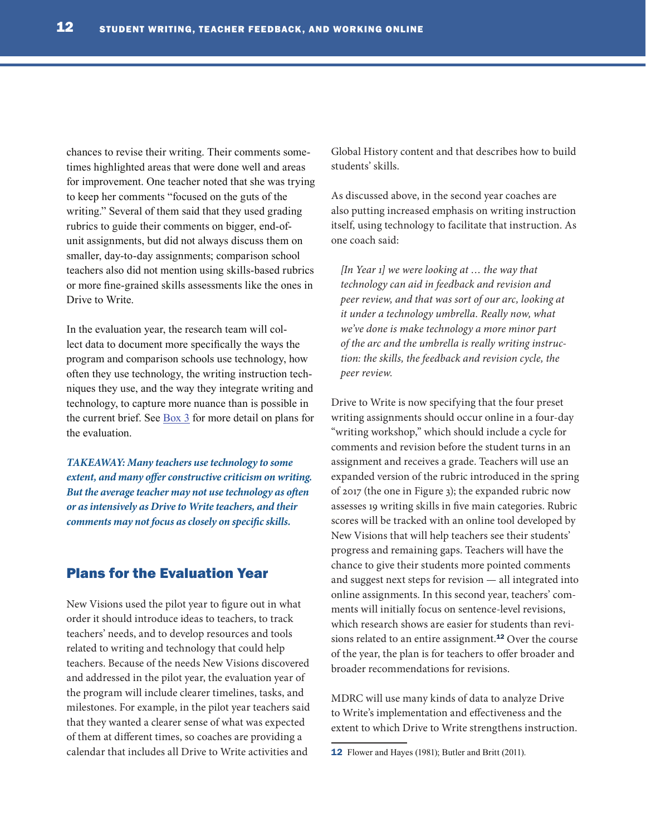chances to revise their writing. Their comments sometimes highlighted areas that were done well and areas for improvement. One teacher noted that she was trying to keep her comments "focused on the guts of the writing." Several of them said that they used grading rubrics to guide their comments on bigger, end-ofunit assignments, but did not always discuss them on smaller, day-to-day assignments; comparison school teachers also did not mention using skills-based rubrics or more fine-grained skills assessments like the ones in Drive to Write.

In the evaluation year, the research team will collect data to document more specifically the ways the program and comparison schools use technology, how often they use technology, the writing instruction techniques they use, and the way they integrate writing and technology, to capture more nuance than is possible in the current brief. See  $\frac{Box 3}{}$  for more detail on plans for the evaluation.

*TAKEAWAY: Many teachers use technology to some extent, and many offer constructive criticism on writing. But the average teacher may not use technology as often or as intensively as Drive to Write teachers, and their comments may not focus as closely on specific skills.* 

## Plans for the Evaluation Year

New Visions used the pilot year to figure out in what order it should introduce ideas to teachers, to track teachers' needs, and to develop resources and tools related to writing and technology that could help teachers. Because of the needs New Visions discovered and addressed in the pilot year, the evaluation year of the program will include clearer timelines, tasks, and milestones. For example, in the pilot year teachers said that they wanted a clearer sense of what was expected of them at different times, so coaches are providing a calendar that includes all Drive to Write activities and

Global History content and that describes how to build students' skills.

As discussed above, in the second year coaches are also putting increased emphasis on writing instruction itself, using technology to facilitate that instruction. As one coach said:

*[In Year 1] we were looking at … the way that technology can aid in feedback and revision and peer review, and that was sort of our arc, looking at it under a technology umbrella. Really now, what we've done is make technology a more minor part of the arc and the umbrella is really writing instruction: the skills, the feedback and revision cycle, the peer review.* 

Drive to Write is now specifying that the four preset writing assignments should occur online in a four-day "writing workshop," which should include a cycle for comments and revision before the student turns in an assignment and receives a grade. Teachers will use an expanded version of the rubric introduced in the spring of 2017 (the one in Figure 3); the expanded rubric now assesses 19 writing skills in five main categories. Rubric scores will be tracked with an online tool developed by New Visions that will help teachers see their students' progress and remaining gaps. Teachers will have the chance to give their students more pointed comments and suggest next steps for revision — all integrated into online assignments. In this second year, teachers' comments will initially focus on sentence-level revisions, which research shows are easier for students than revisions related to an entire assignment.<sup>12</sup> Over the course of the year, the plan is for teachers to offer broader and broader recommendations for revisions.

MDRC will use many kinds of data to analyze Drive to Write's implementation and effectiveness and the extent to which Drive to Write strengthens instruction.

<sup>12</sup> Flower and Hayes (1981); Butler and Britt (2011).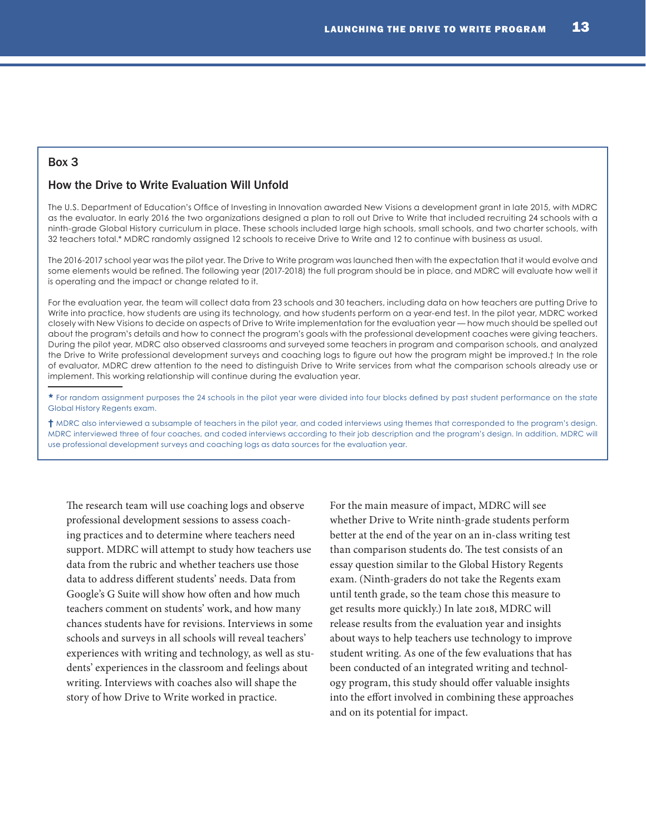## Box 3

#### How the Drive to Write Evaluation Will Unfold

The U.S. Department of Education's [Office of Investing in Innovation](https://innovation.ed.gov/what-we-do/innovation/investing-in-innovation-i3/) awarded New Visions a development grant in late 2015, with MDRC as the evaluator. In early 2016 the two organizations designed a plan to roll out Drive to Write that included recruiting 24 schools with a ninth-grade Global History curriculum in place. These schools included large high schools, small schools, and two charter schools, with 32 teachers total.\* MDRC randomly assigned 12 schools to receive Drive to Write and 12 to continue with business as usual.

The 2016-2017 school year was the pilot year. The Drive to Write program was launched then with the expectation that it would evolve and some elements would be refined. The following year (2017-2018) the full program should be in place, and MDRC will evaluate how well it is operating and the impact or change related to it.

For the evaluation year, the team will collect data from 23 schools and 30 teachers, including data on how teachers are putting Drive to Write into practice, how students are using its technology, and how students perform on a year-end test. In the pilot year, MDRC worked closely with New Visions to decide on aspects of Drive to Write implementation for the evaluation year — how much should be spelled out about the program's details and how to connect the program's goals with the professional development coaches were giving teachers. During the pilot year, MDRC also observed classrooms and surveyed some teachers in program and comparison schools, and analyzed the Drive to Write professional development surveys and coaching logs to figure out how the program might be improved.† In the role of evaluator, MDRC drew attention to the need to distinguish Drive to Write services from what the comparison schools already use or implement. This working relationship will continue during the evaluation year.

\* For random assignment purposes the 24 schools in the pilot year were divided into four blocks defined by past student performance on the state Global History Regents exam.

† MDRC also interviewed a subsample of teachers in the pilot year, and coded interviews using themes that corresponded to the program's design. MDRC interviewed three of four coaches, and coded interviews according to their job description and the program's design. In addition, MDRC will use professional development surveys and coaching logs as data sources for the evaluation year.

The research team will use coaching logs and observe professional development sessions to assess coaching practices and to determine where teachers need support. MDRC will attempt to study how teachers use data from the rubric and whether teachers use those data to address different students' needs. Data from Google's G Suite will show how often and how much teachers comment on students' work, and how many chances students have for revisions. Interviews in some schools and surveys in all schools will reveal teachers' experiences with writing and technology, as well as students' experiences in the classroom and feelings about writing. Interviews with coaches also will shape the story of how Drive to Write worked in practice.

For the main measure of impact, MDRC will see whether Drive to Write ninth-grade students perform better at the end of the year on an in-class writing test than comparison students do. The test consists of an essay question similar to the Global History Regents exam. (Ninth-graders do not take the Regents exam until tenth grade, so the team chose this measure to get results more quickly.) In late 2018, MDRC will release results from the evaluation year and insights about ways to help teachers use technology to improve student writing. As one of the few evaluations that has been conducted of an integrated writing and technology program, this study should offer valuable insights into the effort involved in combining these approaches and on its potential for impact.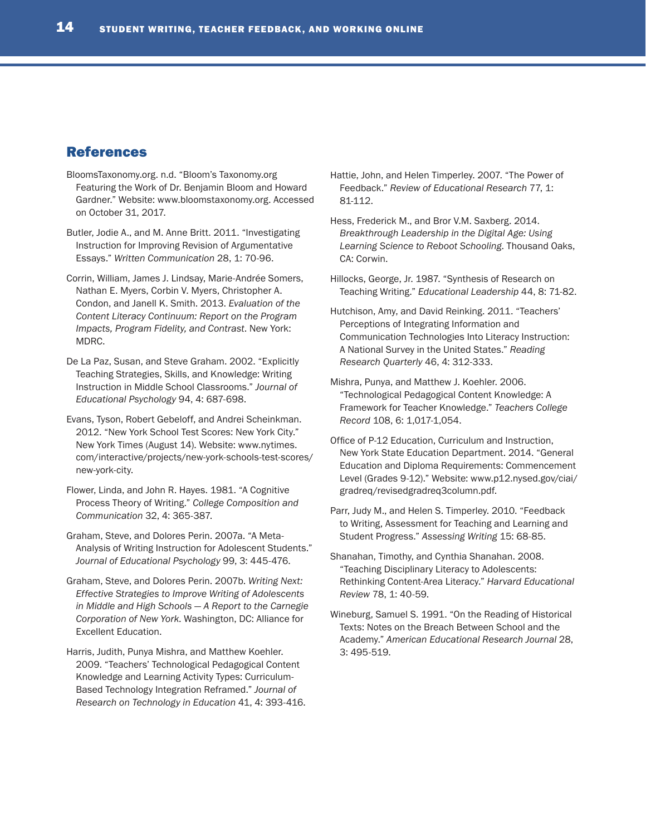## References

- BloomsTaxonomy.org. n.d. "Bloom's Taxonomy.org Featuring the Work of Dr. Benjamin Bloom and Howard Gardner." Website: www.bloomstaxonomy.org. Accessed on October 31, 2017.
- Butler, Jodie A., and M. Anne Britt. 2011. "Investigating Instruction for Improving Revision of Argumentative Essays." *Written Communication* 28, 1: 70-96.
- Corrin, William, James J. Lindsay, Marie-Andrée Somers, Nathan E. Myers, Corbin V. Myers, Christopher A. Condon, and Janell K. Smith. 2013. *Evaluation of the Content Literacy Continuum: Report on the Program Impacts, Program Fidelity, and Contrast*. New York: MDRC.
- De La Paz, Susan, and Steve Graham. 2002. "Explicitly Teaching Strategies, Skills, and Knowledge: Writing Instruction in Middle School Classrooms." *Journal of Educational Psychology* 94, 4: 687-698.
- Evans, Tyson, Robert Gebeloff, and Andrei Scheinkman. 2012. "New York School Test Scores: New York City." New York Times (August 14). Website: www.nytimes. com/interactive/projects/new-york-schools-test-scores/ new-york-city.
- Flower, Linda, and John R. Hayes. 1981. "A Cognitive Process Theory of Writing." *College Composition and Communication* 32, 4: 365-387.
- Graham, Steve, and Dolores Perin. 2007a. "A Meta-Analysis of Writing Instruction for Adolescent Students." *Journal of Educational Psychology* 99, 3: 445-476.
- Graham, Steve, and Dolores Perin. 2007b. *Writing Next: Effective Strategies to Improve Writing of Adolescents in Middle and High Schools — A Report to the Carnegie Corporation of New York*. Washington, DC: Alliance for Excellent Education.
- Harris, Judith, Punya Mishra, and Matthew Koehler. 2009. "Teachers' Technological Pedagogical Content Knowledge and Learning Activity Types: Curriculum-Based Technology Integration Reframed." *Journal of Research on Technology in Education* 41, 4: 393-416.
- Hattie, John, and Helen Timperley. 2007. "The Power of Feedback." *Review of Educational Research* 77, 1: 81-112.
- Hess, Frederick M., and Bror V.M. Saxberg. 2014. *Breakthrough Leadership in the Digital Age: Using Learning Science to Reboot Schooling*. Thousand Oaks, CA: Corwin.
- Hillocks, George, Jr. 1987. "Synthesis of Research on Teaching Writing." *Educational Leadership* 44, 8: 71-82.
- Hutchison, Amy, and David Reinking. 2011. "Teachers' Perceptions of Integrating Information and Communication Technologies Into Literacy Instruction: A National Survey in the United States." *Reading Research Quarterly* 46, 4: 312-333.
- Mishra, Punya, and Matthew J. Koehler. 2006. "Technological Pedagogical Content Knowledge: A Framework for Teacher Knowledge." *Teachers College Record* 108, 6: 1,017-1,054.
- Office of P-12 Education, Curriculum and Instruction, New York State Education Department. 2014. "General Education and Diploma Requirements: Commencement Level (Grades 9-12)." Website: www.p12.nysed.gov/ciai/ gradreq/revisedgradreq3column.pdf.
- Parr, Judy M., and Helen S. Timperley. 2010. "Feedback to Writing, Assessment for Teaching and Learning and Student Progress." *Assessing Writing* 15: 68-85.
- Shanahan, Timothy, and Cynthia Shanahan. 2008. "Teaching Disciplinary Literacy to Adolescents: Rethinking Content-Area Literacy." *Harvard Educational Review* 78, 1: 40-59.
- Wineburg, Samuel S. 1991. "On the Reading of Historical Texts: Notes on the Breach Between School and the Academy." *American Educational Research Journal* 28, 3: 495-519.